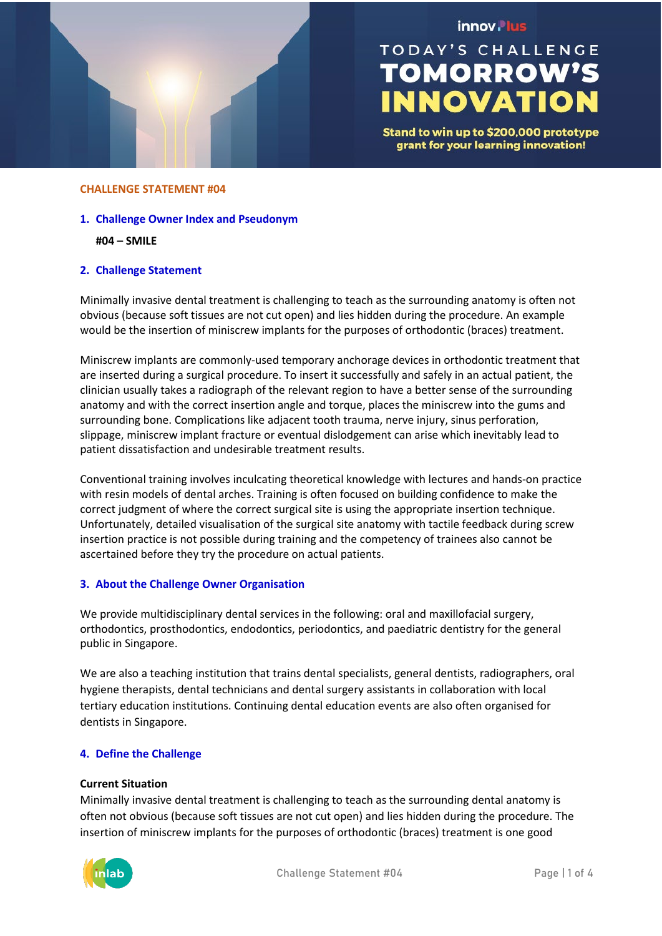

## innov. lus

# **TODAY'S CHALLENGE TOMORROW'S INNOVATION**

Stand to win up to \$200,000 prototype grant for your learning innovation!

#### **CHALLENGE STATEMENT #04**

**1. Challenge Owner Index and Pseudonym**

**#04 – SMILE**

## **2. Challenge Statement**

Minimally invasive dental treatment is challenging to teach as the surrounding anatomy is often not obvious (because soft tissues are not cut open) and lies hidden during the procedure. An example would be the insertion of miniscrew implants for the purposes of orthodontic (braces) treatment.

Miniscrew implants are commonly-used temporary anchorage devices in orthodontic treatment that are inserted during a surgical procedure. To insert it successfully and safely in an actual patient, the clinician usually takes a radiograph of the relevant region to have a better sense of the surrounding anatomy and with the correct insertion angle and torque, places the miniscrew into the gums and surrounding bone. Complications like adjacent tooth trauma, nerve injury, sinus perforation, slippage, miniscrew implant fracture or eventual dislodgement can arise which inevitably lead to patient dissatisfaction and undesirable treatment results.

Conventional training involves inculcating theoretical knowledge with lectures and hands-on practice with resin models of dental arches. Training is often focused on building confidence to make the correct judgment of where the correct surgical site is using the appropriate insertion technique. Unfortunately, detailed visualisation of the surgical site anatomy with tactile feedback during screw insertion practice is not possible during training and the competency of trainees also cannot be ascertained before they try the procedure on actual patients.

## **3. About the Challenge Owner Organisation**

We provide multidisciplinary dental services in the following: oral and maxillofacial surgery, orthodontics, prosthodontics, endodontics, periodontics, and paediatric dentistry for the general public in Singapore.

We are also a teaching institution that trains dental specialists, general dentists, radiographers, oral hygiene therapists, dental technicians and dental surgery assistants in collaboration with local tertiary education institutions. Continuing dental education events are also often organised for dentists in Singapore.

## **4. Define the Challenge**

#### **Current Situation**

Minimally invasive dental treatment is challenging to teach as the surrounding dental anatomy is often not obvious (because soft tissues are not cut open) and lies hidden during the procedure. The insertion of miniscrew implants for the purposes of orthodontic (braces) treatment is one good

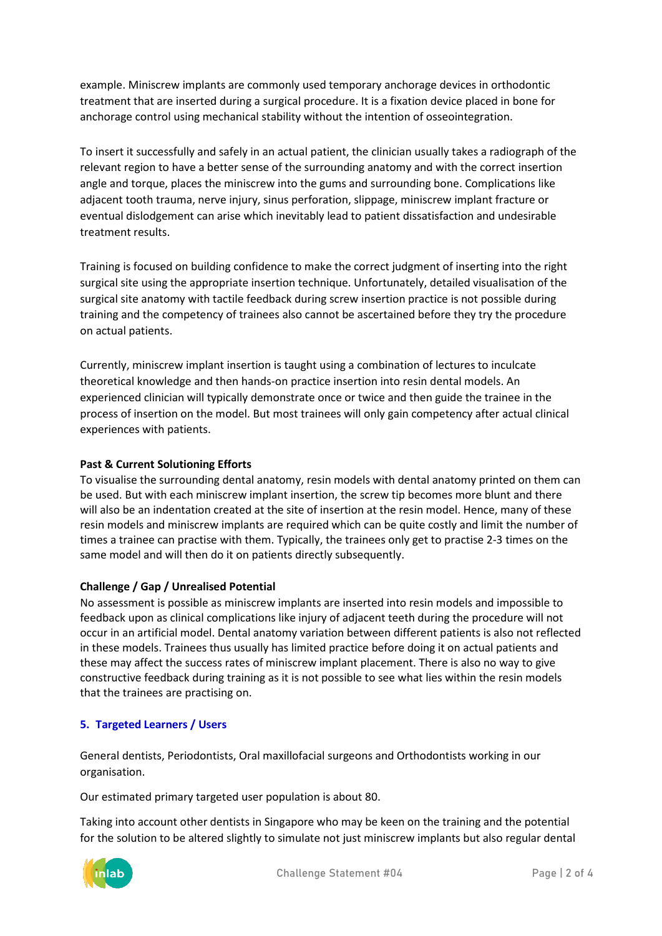example. Miniscrew implants are commonly used temporary anchorage devices in orthodontic treatment that are inserted during a surgical procedure. It is a fixation device placed in bone for anchorage control using mechanical stability without the intention of osseointegration.

To insert it successfully and safely in an actual patient, the clinician usually takes a radiograph of the relevant region to have a better sense of the surrounding anatomy and with the correct insertion angle and torque, places the miniscrew into the gums and surrounding bone. Complications like adjacent tooth trauma, nerve injury, sinus perforation, slippage, miniscrew implant fracture or eventual dislodgement can arise which inevitably lead to patient dissatisfaction and undesirable treatment results.

Training is focused on building confidence to make the correct judgment of inserting into the right surgical site using the appropriate insertion technique. Unfortunately, detailed visualisation of the surgical site anatomy with tactile feedback during screw insertion practice is not possible during training and the competency of trainees also cannot be ascertained before they try the procedure on actual patients.

Currently, miniscrew implant insertion is taught using a combination of lectures to inculcate theoretical knowledge and then hands-on practice insertion into resin dental models. An experienced clinician will typically demonstrate once or twice and then guide the trainee in the process of insertion on the model. But most trainees will only gain competency after actual clinical experiences with patients.

## **Past & Current Solutioning Efforts**

To visualise the surrounding dental anatomy, resin models with dental anatomy printed on them can be used. But with each miniscrew implant insertion, the screw tip becomes more blunt and there will also be an indentation created at the site of insertion at the resin model. Hence, many of these resin models and miniscrew implants are required which can be quite costly and limit the number of times a trainee can practise with them. Typically, the trainees only get to practise 2-3 times on the same model and will then do it on patients directly subsequently.

## **Challenge / Gap / Unrealised Potential**

No assessment is possible as miniscrew implants are inserted into resin models and impossible to feedback upon as clinical complications like injury of adjacent teeth during the procedure will not occur in an artificial model. Dental anatomy variation between different patients is also not reflected in these models. Trainees thus usually has limited practice before doing it on actual patients and these may affect the success rates of miniscrew implant placement. There is also no way to give constructive feedback during training as it is not possible to see what lies within the resin models that the trainees are practising on.

## **5. Targeted Learners / Users**

General dentists, Periodontists, Oral maxillofacial surgeons and Orthodontists working in our organisation.

Our estimated primary targeted user population is about 80.

Taking into account other dentists in Singapore who may be keen on the training and the potential for the solution to be altered slightly to simulate not just miniscrew implants but also regular dental

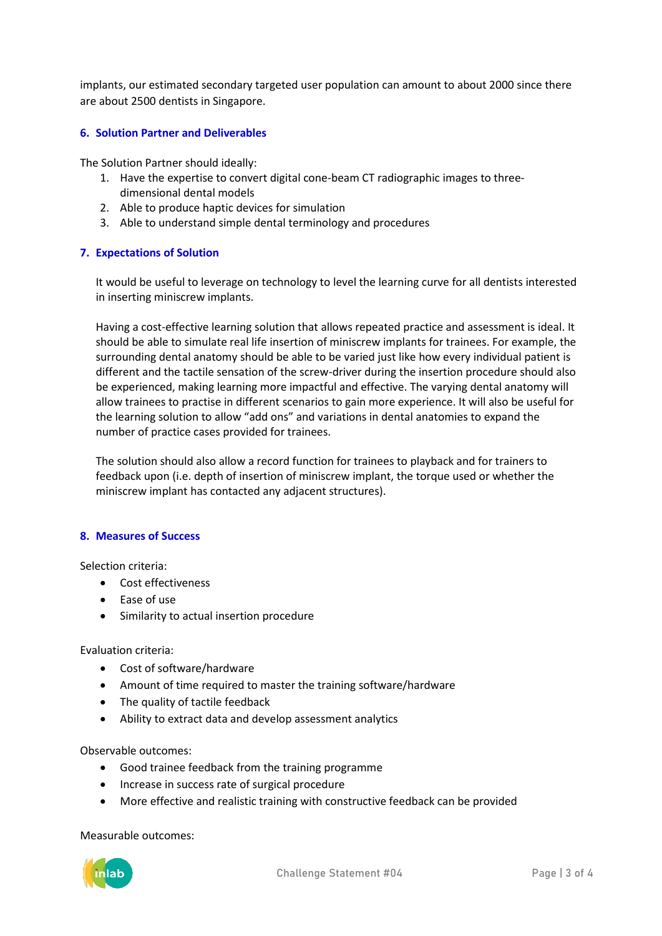implants, our estimated secondary targeted user population can amount to about 2000 since there are about 2500 dentists in Singapore.

## **6. Solution Partner and Deliverables**

The Solution Partner should ideally:

- 1. Have the expertise to convert digital cone-beam CT radiographic images to threedimensional dental models
- 2. Able to produce haptic devices for simulation
- 3. Able to understand simple dental terminology and procedures

## **7. Expectations of Solution**

It would be useful to leverage on technology to level the learning curve for all dentists interested in inserting miniscrew implants.

Having a cost-effective learning solution that allows repeated practice and assessment is ideal. It should be able to simulate real life insertion of miniscrew implants for trainees. For example, the surrounding dental anatomy should be able to be varied just like how every individual patient is different and the tactile sensation of the screw-driver during the insertion procedure should also be experienced, making learning more impactful and effective. The varying dental anatomy will allow trainees to practise in different scenarios to gain more experience. It will also be useful for the learning solution to allow "add ons" and variations in dental anatomies to expand the number of practice cases provided for trainees.

The solution should also allow a record function for trainees to playback and for trainers to feedback upon (i.e. depth of insertion of miniscrew implant, the torque used or whether the miniscrew implant has contacted any adjacent structures).

## **8. Measures of Success**

Selection criteria:

- Cost effectiveness
- Ease of use
- Similarity to actual insertion procedure

## Evaluation criteria:

- Cost of software/hardware
- Amount of time required to master the training software/hardware
- The quality of tactile feedback
- Ability to extract data and develop assessment analytics

Observable outcomes:

- Good trainee feedback from the training programme
- Increase in success rate of surgical procedure
- More effective and realistic training with constructive feedback can be provided

Measurable outcomes: